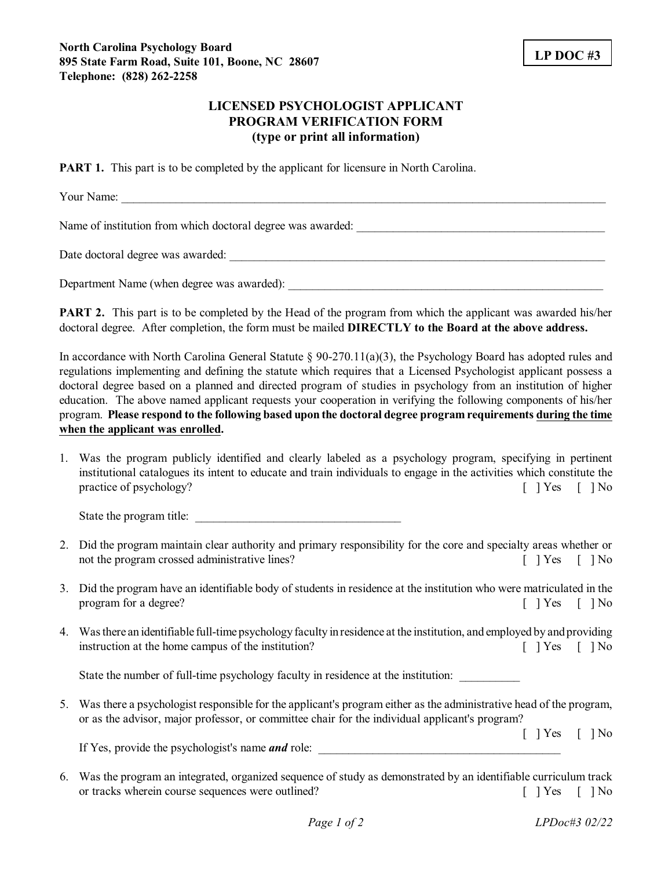## **LICENSED PSYCHOLOGIST APPLICANT PROGRAM VERIFICATION FORM (type or print all information)**

**PART 1.** This part is to be completed by the applicant for licensure in North Carolina.

Your Name:

Name of institution from which doctoral degree was awarded:

Date doctoral degree was awarded: \_\_\_\_\_\_\_\_\_\_\_\_\_\_\_\_\_\_\_\_\_\_\_\_\_\_\_\_\_\_\_\_\_\_\_\_\_\_\_\_\_\_\_\_\_\_\_\_\_\_\_\_\_\_\_\_\_\_\_\_\_\_

Department Name (when degree was awarded):

**PART 2.** This part is to be completed by the Head of the program from which the applicant was awarded his/her doctoral degree. After completion, the form must be mailed **DIRECTLY to the Board at the above address.**

In accordance with North Carolina General Statute  $\S 90-270.11(a)(3)$ , the Psychology Board has adopted rules and regulations implementing and defining the statute which requires that a Licensed Psychologist applicant possess a doctoral degree based on a planned and directed program of studies in psychology from an institution of higher education. The above named applicant requests your cooperation in verifying the following components of his/her program. **Please respond to the following based upon the doctoral degree program requirements during the time when the applicant was enrolled.**

1. Was the program publicly identified and clearly labeled as a psychology program, specifying in pertinent institutional catalogues its intent to educate and train individuals to engage in the activities which constitute the practice of psychology? [ ] Yes [ ] No

State the program title:

- 2. Did the program maintain clear authority and primary responsibility for the core and specialty areas whether or not the program crossed administrative lines? [ ] Yes [ ] No
- 3. Did the program have an identifiable body of students in residence at the institution who were matriculated in the program for a degree? [ ] Yes [ ] No
- 4. Was there an identifiable full-time psychology faculty in residence at the institution, and employed by and providing instruction at the home campus of the institution? [ ] Yes [ ] No

State the number of full-time psychology faculty in residence at the institution:

5. Was there a psychologist responsible for the applicant's program either as the administrative head of the program, or as the advisor, major professor, or committee chair for the individual applicant's program?

 $[$   $]$  Yes  $[$   $]$  No

If Yes, provide the psychologist's name *and* role:

6. Was the program an integrated, organized sequence of study as demonstrated by an identifiable curriculum track or tracks wherein course sequences were outlined? [ ] Yes [ ] No